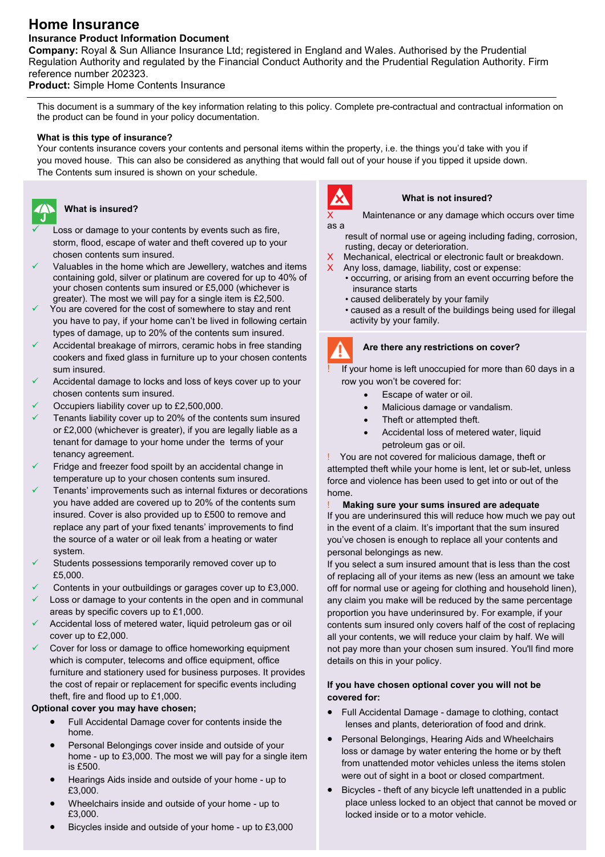# **Home Insurance**

# **Insurance Product Information Document**

**Company:** Royal & Sun Alliance Insurance Ltd; registered in England and Wales. Authorised by the Prudential Regulation Authority and regulated by the Financial Conduct Authority and the Prudential Regulation Authority. Firm reference number 202323.

**Product:** Simple Home Contents Insurance

This document is a summary of the key information relating to this policy. Complete pre-contractual and contractual information on the product can be found in your policy documentation.

#### **What is this type of insurance?**

Your contents insurance covers your contents and personal items within the property, i.e. the things you'd take with you if you moved house. This can also be considered as anything that would fall out of your house if you tipped it upside down. The Contents sum insured is shown on your schedule.



# **What is insured?**

 Loss or damage to your contents by events such as fire, storm, flood, escape of water and theft covered up to your chosen contents sum insured.

- Valuables in the home which are Jewellery, watches and items containing gold, silver or platinum are covered for up to 40% of your chosen contents sum insured or £5,000 (whichever is greater). The most we will pay for a single item is £2,500.
- You are covered for the cost of somewhere to stay and rent you have to pay, if your home can't be lived in following certain types of damage, up to 20% of the contents sum insured.
- Accidental breakage of mirrors, ceramic hobs in free standing cookers and fixed glass in furniture up to your chosen contents sum insured.
- Accidental damage to locks and loss of keys cover up to your chosen contents sum insured.
- Occupiers liability cover up to £2,500,000.
- Tenants liability cover up to 20% of the contents sum insured or £2,000 (whichever is greater), if you are legally liable as a tenant for damage to your home under the terms of your tenancy agreement.
- temperature up to your chosen contents sum insured. Fridge and freezer food spoilt by an accidental change in
- Tenants' improvements such as internal fixtures or decorations you have added are covered up to 20% of the contents sum insured. Cover is also provided up to £500 to remove and replace any part of your fixed tenants' improvements to find the source of a water or oil leak from a heating or water system.
- Students possessions temporarily removed cover up to £5,000.
- Contents in your outbuildings or garages cover up to £3,000.
- Loss or damage to your contents in the open and in communal areas by specific covers up to £1,000.
- Accidental loss of metered water, liquid petroleum gas or oil cover up to £2,000.
- Cover for loss or damage to office homeworking equipment which is computer, telecoms and office equipment, office furniture and stationery used for business purposes. It provides the cost of repair or replacement for specific events including theft, fire and flood up to £1,000.

#### **Optional cover you may have chosen;**

- Full Accidental Damage cover for contents inside the home.
- Personal Belongings cover inside and outside of your home - up to £3,000. The most we will pay for a single item is £500.
- Hearings Aids inside and outside of your home up to £3,000.
- · Wheelchairs inside and outside of your home up to £3,000.
- Bicycles inside and outside of your home up to £3,000



#### **What is not insured?**

Maintenance or any damage which occurs over time as a

- result of normal use or ageing including fading, corrosion, rusting, decay or deterioration.
- Mechanical, electrical or electronic fault or breakdown.
- X Any loss, damage, liability, cost or expense:
	- occurring, or arising from an event occurring before the insurance starts
		- caused deliberately by your family
		- caused as a result of the buildings being used for illegal activity by your family.

# **Are there any restrictions on cover?**

If your home is left unoccupied for more than 60 days in a row you won't be covered for:

- Escape of water or oil.
- Malicious damage or vandalism.
- Theft or attempted theft.
- Accidental loss of metered water, liquid petroleum gas or oil.

You are not covered for malicious damage, theft or attempted theft while your home is lent, let or sub-let, unless force and violence has been used to get into or out of the home.

#### ! **Making sure your sums insured are adequate** If you are underinsured this will reduce how much we pay out in the event of a claim. It's important that the sum insured you've chosen is enough to replace all your contents and personal belongings as new.

If you select a sum insured amount that is less than the cost of replacing all of your items as new (less an amount we take off for normal use or ageing for clothing and household linen), any claim you make will be reduced by the same percentage proportion you have underinsured by. For example, if your contents sum insured only covers half of the cost of replacing all your contents, we will reduce your claim by half. We will not pay more than your chosen sum insured. You'll find more details on this in your policy.

# **If you have chosen optional cover you will not be covered for:**

- · Full Accidental Damage damage to clothing, contact lenses and plants, deterioration of food and drink.
- Personal Belongings, Hearing Aids and Wheelchairs loss or damage by water entering the home or by theft from unattended motor vehicles unless the items stolen were out of sight in a boot or closed compartment.
- Bicycles theft of any bicycle left unattended in a public place unless locked to an object that cannot be moved or locked inside or to a motor vehicle.